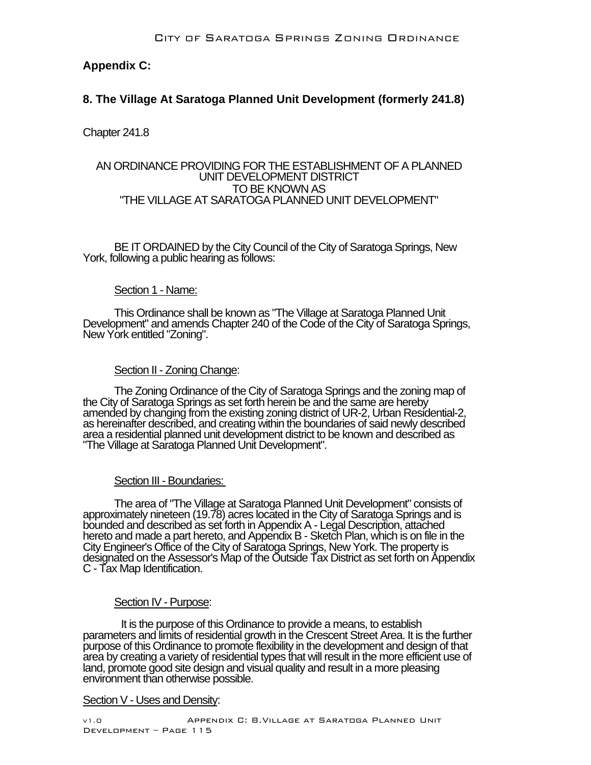## **Appendix C:**

## **8. The Village At Saratoga Planned Unit Development (formerly 241.8)**

## Chapter 241.8

### AN ORDINANCE PROVIDING FOR THE ESTABLISHMENT OF A PLANNED UNIT DEVELOPMENT DISTRICT TO BE KNOWN AS "THE VILLAGE AT SARATOGA PLANNED UNIT DEVELOPMENT"

BE IT ORDAINED by the City Council of the City of Saratoga Springs, New York, following a public hearing as follows:

## Section 1 - Name:

This Ordinance shall be known as "The Village at Saratoga Planned Unit Development" and amends Chapter 240 of the Code of the City of Saratoga Springs, New York entitled "Zoning".

## Section II - Zoning Change:

The Zoning Ordinance of the City of Saratoga Springs and the zoning map of<br>the City of Saratoga Springs as set forth herein be and the same are hereby<br>amended by changing from the existing zoning district of UR-2, Urban Re as hereinafter described, and creating within the boundaries of said newly described area a residential planned unit development district to be known and described as "The Village at Saratoga Planned Unit Development".

## Section III - Boundaries:

The area of "The Village at Saratoga Planned Unit Development" consists of<br>approximately nineteen (19.78) acres located in the City of Saratoga Springs and is<br>bounded and described as set forth in Appendix A - Legal Descri designated on the Assessor's Map of the Outside Tax District as set forth on Appendix<br>C - Tax Map Identification.

## Section IV - Purpose:

It is the purpose of this Ordinance to provide a means, to establish parameters and limits of residential growth in the Crescent Street Area. It is the further purpose of this Ordinance to promote flexibility in the development and design of that<br>area by creating a variety of residential types that will result in the more efficient use of land, promote good site design and visual quality and result in a more pleasing environment than otherwise possible.

### Section V - Uses and Density: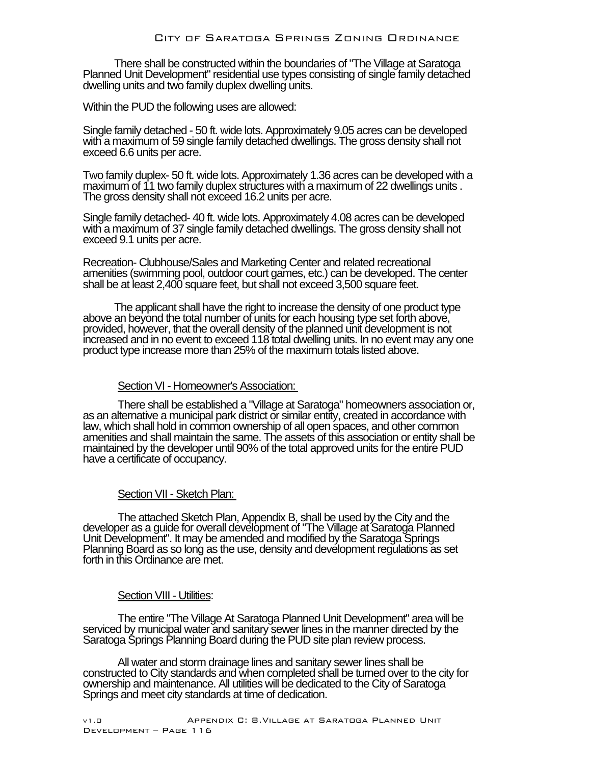There shall be constructed within the boundaries of "The Village at Saratoga Planned Unit Development" residential use types consisting of single family detached dwelling units and two family duplex dwelling units.

Within the PUD the following uses are allowed:

Single family detached - 50 ft. wide lots. Approximately 9.05 acres can be developed with a maximum of 59 single family detached dwellings. The gross density shall not exceed 6.6 units per acre.

Two family duplex- 50 ft. wide lots. Approximately 1.36 acres can be developed with a<br>maximum of 11 two family duplex structures with a maximum of 22 dwellings units .<br>The gross density shall not exceed 16.2 units per acre

Single family detached- 40 ft. wide lots. Approximately 4.08 acres can be developed with a maximum of 37 single family detached dwellings. The gross density shall not exceed 9.1 units per acre.

Recreation- Clubhouse/Sales and Marketing Center and related recreational amenities (swimming pool, outdoor court games, etc.) can be developed. The center shall be at least 2,400 square feet, but shall not exceed 3,500 square feet.

The applicant shall have the right to increase the density of one product type<br>above an beyond the total number of units for each housing type set forth above,<br>provided, however, that the overall density of the planned uni increased and in no event to exceed 118 total dwelling units. In no event may any one product type increase more than 25% of the maximum totals listed above.

#### Section VI - Homeowner's Association:

There shall be established a "Village at Saratoga" homeowners association or, as an alternative a municipal park district or similar entity, created in accordance with law, which shall hold in common ownership of all open spaces, and other common amenities and shall maintain the same. The assets of this association or entity shall be maintained by the developer until 90% of the total approved units for the entire PUD have a certificate of occupancy.

#### Section VII - Sketch Plan:

The attached Sketch Plan, Appendix B, shall be used by the City and the developer as a guide for overall development of "The Village at Saratoga Planned Unit Development". It may be amended and modified by the Saratoga Spr

#### Section VIII - Utilities:

The entire "The Village At Saratoga Planned Unit Development" area will be serviced by municipal water and sanitary sewer lines in the manner directed by the Saratoga Springs Planning Board during the PUD site plan review process.

All water and storm drainage lines and sanitary sewer lines shall be<br>constructed to City standards and when completed shall be turned over to the city for<br>ownership and maintenance. All utilities will be dedicated to the C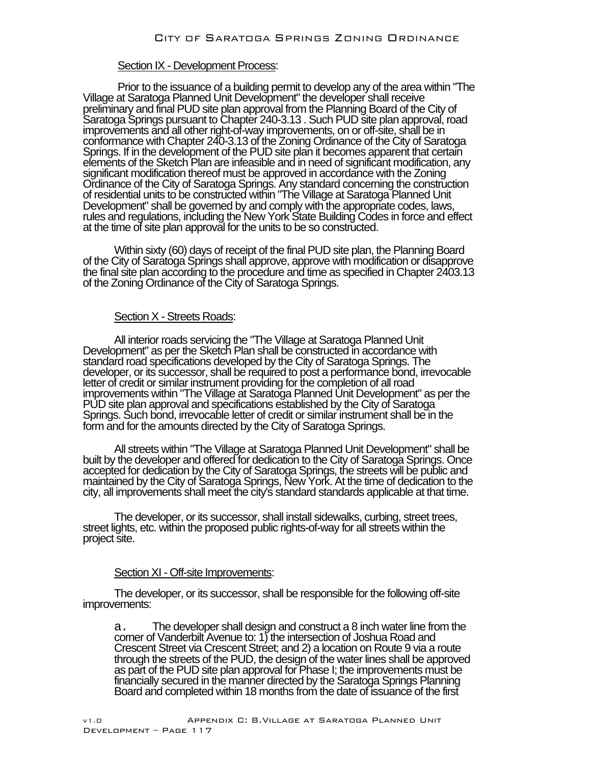#### Section IX - Development Process:

Prior to the issuance of a building permit to develop any of the area within "The Village at Saratoga Planned Unit Development" the developer shall receive preliminary and final PUD site plan approval from the Planning Boa conformance with Chapter 240-3.13 of the Zoning Ordinance of the City of Saratoga<br>Springs. If in the development of the PUD site plan it becomes apparent that certain<br>elements of the Sketch Plan are infeasible and in need

Within sixty (60) days of receipt of the final PUD site plan, the Planning Board of the City of Saratoga Springs shall approve, approve with modification or disapprove the final site plan according to the procedure and time as specified in Chapter 2403.13 of the Zoning Ordinance of the City of Saratoga Springs.

#### Section X - Streets Roads:

All interior roads servicing the "The Village at Saratoga Planned Unit<br>Development" as per the Sketch Plan shall be constructed in accordance with<br>standard road specifications developed by the City of Saratoga Springs. The developer, or its successor, shall be required to post a performance bond, irrevocable<br>letter of credit or similar instrument providing for the completion of all road<br>improvements within "The Village at Saratoga Planned Un form and for the amounts directed by the City of Saratoga Springs.

All streets within "The Village at Saratoga Planned Unit Development" shall be<br>built by the developer and offered for dedication to the City of Saratoga Springs. Once<br>accepted for dedication by the City of Saratoga Springs city, all improvements shall meet the city's standard standards applicable at that time.

The developer, or its successor, shall install sidewalks, curbing, street trees, street lights, etc. within the proposed public rights-of-way for all streets within the project site.

#### Section XI - Off-site Improvements:

The developer, or its successor, shall be responsible for the following off-site improvements:

a . The developer shall design and construct a 8 inch water line from the corner of Vanderbilt Avenue to: 1) the intersection of Joshua Road and Crescent Street via Crescent Street; and 2) a location on Route 9 via a route through the streets of the PUD, the design of the water lines shall be approved<br>as part of the PUD site plan approval for Phase I; the improvements must be<br>financially secured in the manner directed by the Saratoga Springs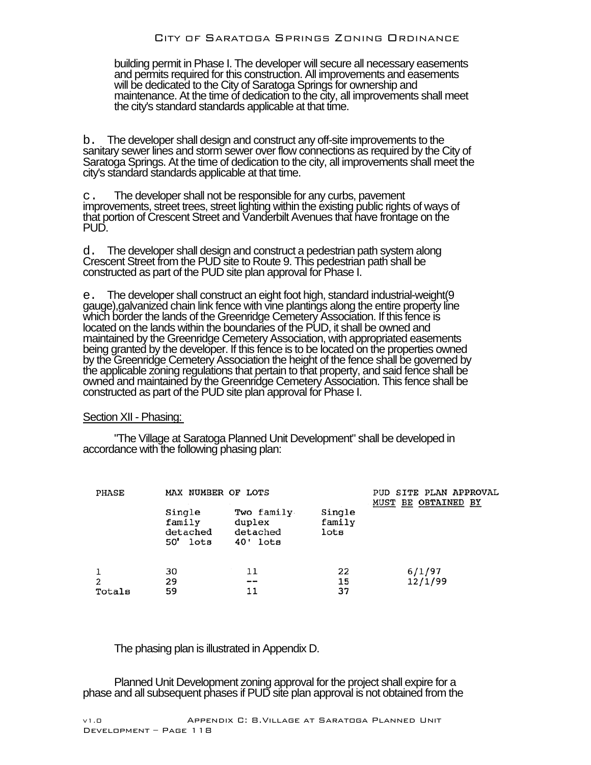building permit in Phase I. The developer will secure all necessary easements and permits required for this construction. All improvements and easements<br>will be dedicated to the City of Saratoga Springs for ownership and maintenance. At the time of dedication to the city, all improvements shall meet<br>the city's standard standards applicable at that time.

b. The developer shall design and construct any off-site improvements to the<br>sanitary sewer lines and storm sewer over flow connections as required by the City of<br>Saratoga Springs. At the time of dedication to the city, al city's standard standards applicable at that time.

c. The developer shall not be responsible for any curbs, pavement<br>improvements, street trees, street lighting within the existing public rights of ways of<br>that portion of Crescent Street and Vanderbilt Avenues that have fr

d. The developer shall design and construct a pedestrian path system along Crescent Street from the PUD site to Route 9. This pedestrian path shall be constructed as part of the PUD site plan approval for Phase I.

e. The developer shall construct an eight foot high, standard industrial-weight(9 gauge), galvanized chain link fence with vine plantings along the entire property line which border the lands of the Greenridge Cemetery Ass maintained by the Greenridge Cemetery Association, with appropriated easements<br>being granted by the developer. If this fence is to be located on the properties owned<br>by the Greenridge Cemetery Association the height of the

#### Section XII - Phasing:

"The Village at Saratoga Planned Unit Development" shall be developed in accordance with the following phasing plan:

| <b>PHASE</b> | MAX NUMBER OF LOTS                       |                                                |                          | PUD SITE PLAN APPROVAL<br>MUST BE OBTAINED BY |
|--------------|------------------------------------------|------------------------------------------------|--------------------------|-----------------------------------------------|
|              | Single<br>family<br>detached<br>50' lots | Two family<br>duplex<br>detached<br>$40'$ lots | Single<br>family<br>lots |                                               |
| 2<br>Totals  | 30<br>29<br>59                           | 11<br>--<br>11                                 | 22<br>15<br>37           | 6/1/97<br>12/1/99                             |

The phasing plan is illustrated in Appendix D.

Planned Unit Development zoning approval for the project shall expire for a phase and all subsequent phases if PUD site plan approval is not obtained from the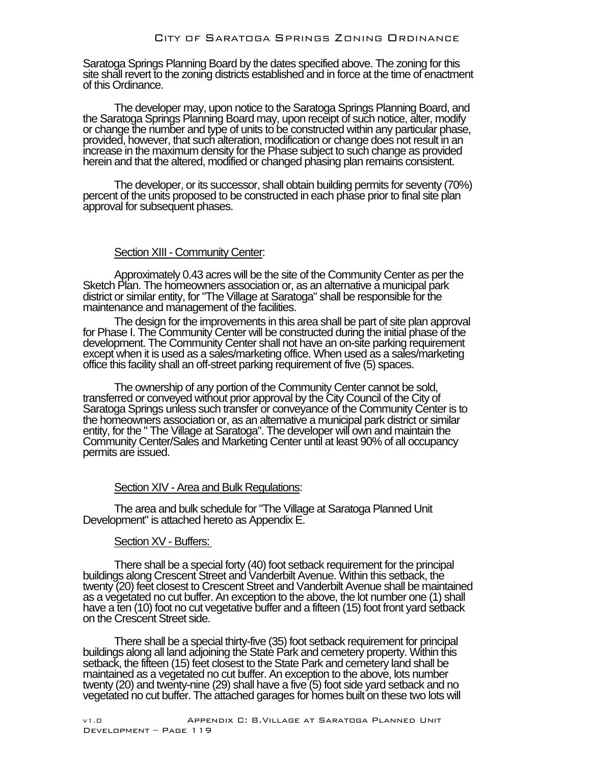Saratoga Springs Planning Board by the dates specified above. The zoning for this site shall revert to the zoning districts established and in force at the time of enactment of this Ordinance.

The developer may, upon notice to the Saratoga Springs Planning Board, and<br>the Saratoga Springs Planning Board may, upon receipt of such notice, alter, modify<br>or change the number and type of units to be constructed within

The developer, or its successor, shall obtain building permits for seventy (70%) percent of the units proposed to be constructed in each phase prior to final site plan approval for subsequent phases.

#### Section XIII - Community Center:

Approximately 0.43 acres will be the site of the Community Center as per the Sketch Plan. The homeowners association or, as an alternative a municipal park district or similar entity, for "The Village at Saratoga" shall be

The design for the improvements in this area shall be part of site plan approval<br>for Phase I. The Community Center will be constructed during the initial phase of the<br>development. The Community Center shall not have an on-

The ownership of any portion of the Community Center cannot be sold,<br>transferred or conveyed without prior approval by the City Council of the City of<br>Saratoga Springs unless such transfer or conveyance of the Community Ce

### Section XIV - Area and Bulk Regulations:

The area and bulk schedule for "The Village at Saratoga Planned Unit Development" is attached hereto as Appendix E.

### Section XV - Buffers:

There shall be a special forty (40) foot setback requirement for the principal buildings along Crescent Street and Vanderbilt Avenue. Within this setback, the twenty (20) feet closest to Crescent Street and Vanderbilt Avenue shall be maintained as a vegetated no cut buffer. An exception to the above, the lot number one (1) shall have a ten (10) foot no cut vegetative buffer and a fifteen (15) foot front yard setback on the Crescent Street side.

There shall be a special thirty-five (35) foot setback requirement for principal<br>buildings along all land adjoining the State Park and cemetery property. Within this<br>setback, the fifteen (15) feet closest to the State Park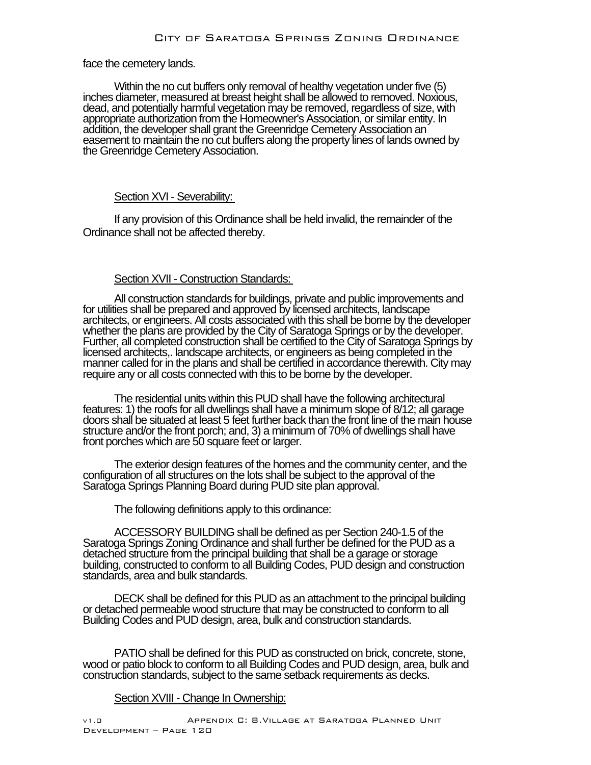face the cemetery lands.

Within the no cut buffers only removal of healthy vegetation under five (5) inches diameter, measured at breast height shall be allowed to removed. Noxious, dead, and potentially harmful vegetation may be removed, regardless of size, with<br>appropriate authorization from the Homeowner's Association, or similar entity. In<br>addition, the developer shall grant the Greenridge Cemeter the Greenridge Cemetery Association.

#### Section XVI - Severability:

If any provision of this Ordinance shall be held invalid, the remainder of the Ordinance shall not be affected thereby.

### Section XVII - Construction Standards:

All construction standards for buildings, private and public improvements and<br>for utilities shall be prepared and approved by licensed architects, landscape<br>architects, or engineers. All costs associated with this shall be whether the plans are provided by the City of Saratoga Springs or by the developer.<br>Further, all completed construction shall be certified to the City of Saratoga Springs by<br>licensed architects,. landscape architects, or e manner called for in the plans and shall be certified in accordance therewith. City may require any or all costs connected with this to be borne by the developer.

The residential units within this PUD shall have the following architectural<br>features: 1) the roofs for all dwellings shall have a minimum slope of 8/12; all garage<br>doors shall be situated at least 5 feet further back than structure and/or the front porch; and, 3) a minimum of 70% of dwellings shall have front porches which are 50 square feet or larger.

The exterior design features of the homes and the community center, and the configuration of all structures on the lots shall be subject to the approval of the Saratoga Springs Planning Board during PUD site plan approval.

The following definitions apply to this ordinance:

ACCESSORY BUILDING shall be defined as per Section 240-1.5 of the<br>Saratoga Springs Zoning Ordinance and shall further be defined for the PUD as a<br>detached structure from the principal building that shall be a garage or sto building, constructed to conform to all Building Codes, PUD design and construction<br>standards, area and bulk standards.

DECK shall be defined for this PUD as an attachment to the principal building or detached permeable wood structure that may be constructed to conform to all Building Codes and PUD design, area, bulk and construction standards.

PATIO shall be defined for this PUD as constructed on brick, concrete, stone, wood or patio block to conform to all Building Codes and PUD design, area, bulk and construction standards, subject to the same setback requirements as decks.

#### Section XVIII - Change In Ownership: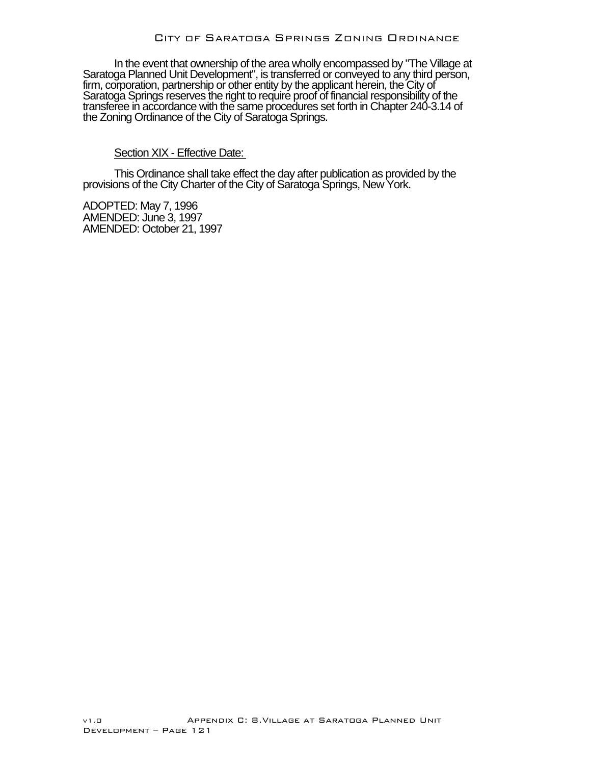In the event that ownership of the area wholly encompassed by "The Village at Saratoga Planned Unit Development", is transferred or conveyed to any third person, firm, corporation, partnership or other entity by the applic

Section XIX - Effective Date:

This Ordinance shall take effect the day after publication as provided by the provisions of the City Charter of the City of Saratoga Springs, New York.

ADOPTED: May 7, 1996 AMENDED: June 3, 1997 AMENDED: October 21, 1997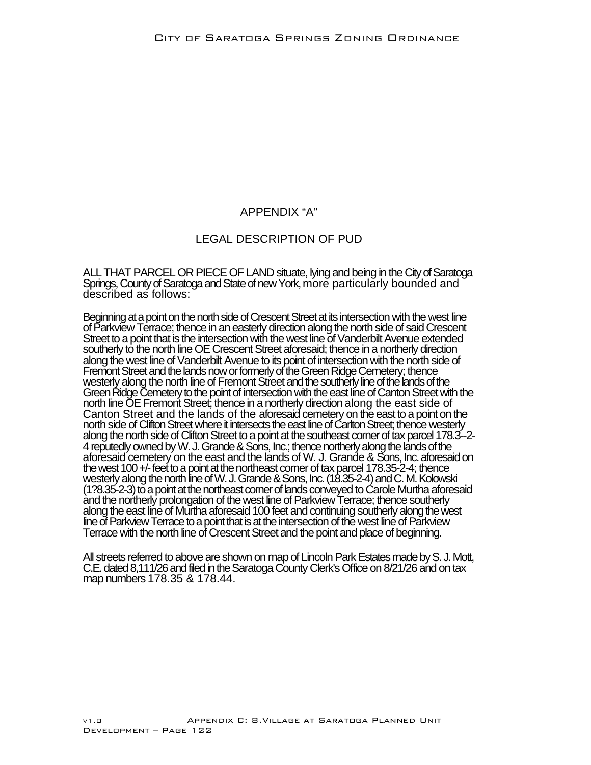## APPENDIX "A"

## LEGAL DESCRIPTION OF PUD

ALL THAT PARCEL OR PIECE OF LAND situate, lying and being in the City of Saratoga<br>Springs, County of Saratoga and State of new York, more particularly bounded and described as follows:

Beginning at a point on the north side of Crescent Street at its intersection with the west line of Parkview Terrace; thence in an easterly direction along the north side of said Crescent Street to a point that is the intersection with the west line of Vanderbilt Avenue extended<br>southerly to the north line OE Crescent Street aforesaid; thence in a northerly direction along the west line of Vanderbilt Avenue to its point of intersection with the north side of<br>Fremont Street and the lands now or formerly of the Green Ridge Cemetery; thence westerly along the north line of Fremont Street and the southerly line of the lands of the Green Ridge Cemetery to the point of intersection with the east line of Canton Street with the<br>north line OE Fremont Street; thence in a northerly direction along the east side of Canton Street and the lands of the aforesaid cemetery on the east to a point on the<br>north side of Clifton Street where it intersects the east line of Carlton Street; thence westerly<br>along the north side of Clifton Street t aforesaid cemetery on the east and the lands of W. J. Grande & Sons, Inc. aforesaid on the west 100 +/- feet to a point at the northeast comer of tax parcel 178.35-2-4; thence westerly along the north line of W. J. Grande & Sons, Inc. (18.35-2-4) and C. M. Kolowski<br>(1?8.35-2-3) to a point at the northeast comer of lands conveyed to Carole Murtha aforesaid and the northerly prolongation of the west line of Parkview Terrace; thence southerly<br>along the east line of Murtha aforesaid 100 feet and continuing southerly along the west<br>line of Parkview Terrace to a point that is at

All streets referred to above are shown on map of Lincoln Park Estates made by S. J. Mott, C.E. dated 8,111/26 and filed in the Saratoga County Clerk's Office on 8/21/26 and on tax map numbers 178.35 & 178.44.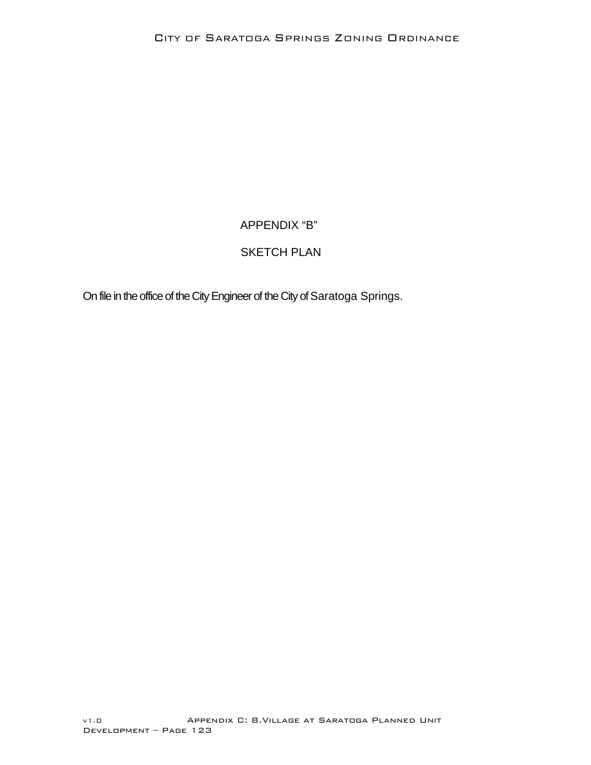## APPENDIX "B"

# SKETCH PLAN

On file in the office of the City Engineer of the City of Saratoga Springs.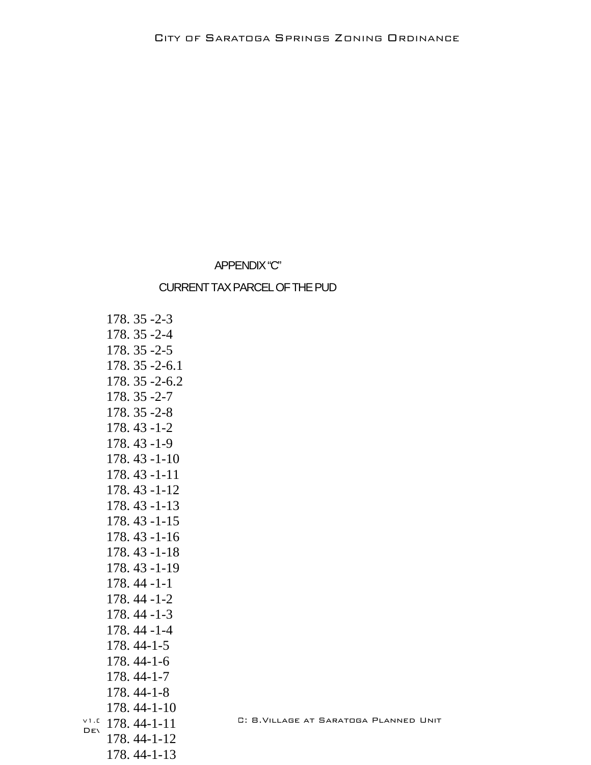## APPENDIX "C"

## CURRENT TAX PARCEL OF THE PUD

|                  | 178. 35 -2-3    |
|------------------|-----------------|
|                  | 178. 35 - 2-4   |
|                  | 178. 35 - 2 - 5 |
|                  | 178. 35 -2-6.1  |
|                  | 178. 35 -2-6.2  |
|                  | 178. 35 -2-7    |
|                  | 178. 35 -2-8    |
|                  | 178.43 - 1 - 2  |
|                  | 178.43 -1-9     |
|                  | 178.43 -1-10    |
|                  | 178.43 - 1 - 11 |
|                  | 178.43 - 1 - 12 |
|                  | 178.43 - 1 - 13 |
|                  | 178.43 - 1 - 15 |
|                  | 178.43-1-16     |
|                  | 178.43-1-18     |
|                  | 178.43 - 1 - 19 |
|                  | 178.44 -1-1     |
|                  | 178.44 -1-2     |
|                  | 178.44 -1-3     |
|                  | 178.44 -1-4     |
|                  | 178.44-1-5      |
|                  | 178.44-1-6      |
|                  | 178.44-1-7      |
|                  | 178.44-1-8      |
|                  | 178.44-1-10     |
| 1.C<br><b>DE</b> | 178.44-1-11     |
|                  | 178.44-1-12     |
|                  | 178.44-1-13     |

v1.0  $178$   $44-1-11$  G: 8.Village at Saratoga Planned Unit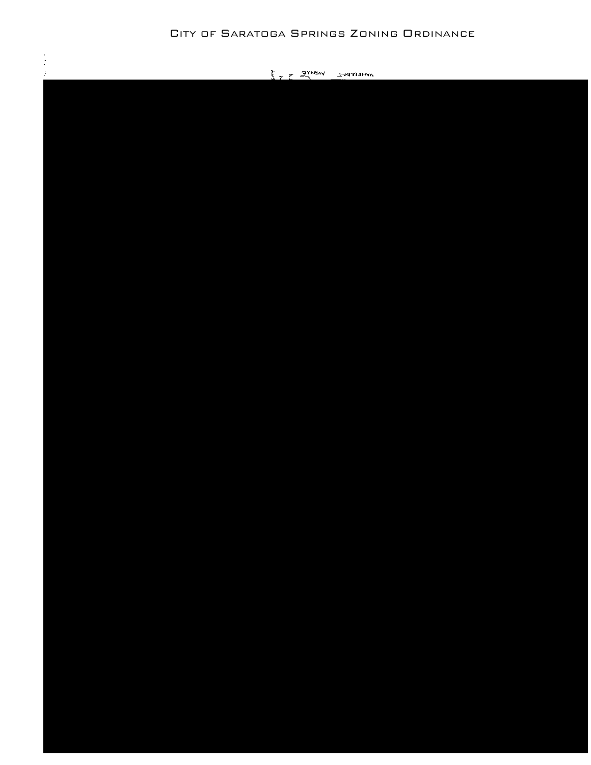## CITY OF SARATOGA SPRINGS ZONING ORDINANCE

| $\cdot$<br>÷ |                                                                                                   |  |  |
|--------------|---------------------------------------------------------------------------------------------------|--|--|
|              | $\frac{1}{2}$ $\frac{1}{2}$ $\frac{1}{2}$ $\frac{1}{2}$ $\frac{1}{2}$ $\frac{1}{2}$ $\frac{1}{2}$ |  |  |
|              |                                                                                                   |  |  |
|              |                                                                                                   |  |  |
|              |                                                                                                   |  |  |
|              |                                                                                                   |  |  |
|              |                                                                                                   |  |  |
|              |                                                                                                   |  |  |
|              |                                                                                                   |  |  |
|              |                                                                                                   |  |  |
|              |                                                                                                   |  |  |
|              |                                                                                                   |  |  |
|              |                                                                                                   |  |  |
|              |                                                                                                   |  |  |
|              |                                                                                                   |  |  |
|              |                                                                                                   |  |  |
|              |                                                                                                   |  |  |
|              |                                                                                                   |  |  |
|              |                                                                                                   |  |  |
|              |                                                                                                   |  |  |
|              |                                                                                                   |  |  |
|              |                                                                                                   |  |  |
|              |                                                                                                   |  |  |
|              |                                                                                                   |  |  |
|              |                                                                                                   |  |  |
|              |                                                                                                   |  |  |
|              |                                                                                                   |  |  |
|              |                                                                                                   |  |  |
|              |                                                                                                   |  |  |